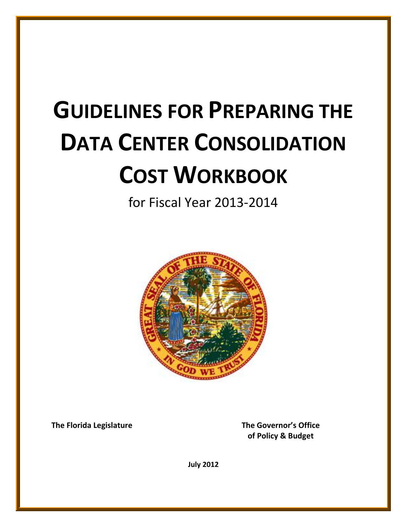# **GUIDELINES FOR PREPARING THE DATA CENTER CONSOLIDATION COST WORKBOOK**

for Fiscal Year 2013-2014



**The Florida Legislature The Governor's Office of Policy & Budget**

**July 2012**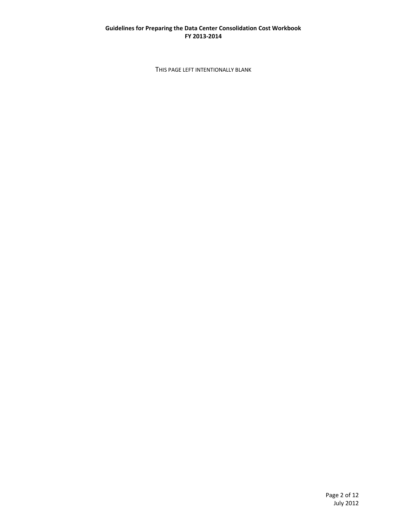THIS PAGE LEFT INTENTIONALLY BLANK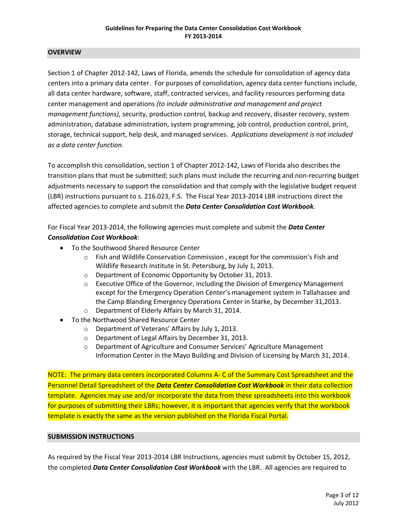#### **OVERVIEW**

Section 1 of Chapter 2012-142, Laws of Florida, amends the schedule for consolidation of agency data centers into a primary data center. For purposes of consolidation, agency data center functions include, all data center hardware, software, staff, contracted services, and facility resources performing data center management and operations *(to include administrative and management and project management functions)*, security, production control, backup and recovery, disaster recovery, system administration, database administration, system programming, job control, production control, print, storage, technical support, help desk, and managed services. *Applications development is not included as a data center function.*

To accomplish this consolidation, section 1 of Chapter 2012-142, Laws of Florida also describes the transition plans that must be submitted; such plans must include the recurring and non-recurring budget adjustments necessary to support the consolidation and that comply with the legislative budget request (LBR) instructions pursuant to s. 216.023, F.S. The Fiscal Year 2013-2014 LBR instructions direct the affected agencies to complete and submit the *Data Center Consolidation Cost Workbook*.

For Fiscal Year 2013-2014, the following agencies must complete and submit the *Data Center Consolidation Cost Workbook*:

- To the Southwood Shared Resource Center
	- o Fish and Wildlife Conservation Commission , except for the commission's Fish and Wildlife Research Institute in St. Petersburg, by July 1, 2013.
	- o Department of Economic Opportunity by October 31, 2013.
	- $\circ$  Executive Office of the Governor, including the Division of Emergency Management except for the Emergency Operation Center's management system in Tallahassee and the Camp Blanding Emergency Operations Center in Starke, by December 31,2013.
	- o Department of Elderly Affairs by March 31, 2014.
- To the Northwood Shared Resource Center
	- o Department of Veterans' Affairs by July 1, 2013.
	- o Department of Legal Affairs by December 31, 2013.
	- o Department of Agriculture and Consumer Services' Agriculture Management Information Center in the Mayo Building and Division of Licensing by March 31, 2014.

NOTE: The primary data centers incorporated Columns A- C of the Summary Cost Spreadsheet and the Personnel Detail Spreadsheet of the *Data Center Consolidation Cost Workbook* in their data collection template. Agencies may use and/or incorporate the data from these spreadsheets into this workbook for purposes of submitting their LBRs; however, it is important that agencies verify that the workbook template is exactly the same as the version published on the Florida Fiscal Portal.

#### **SUBMISSION INSTRUCTIONS**

As required by the Fiscal Year 2013-2014 LBR Instructions, agencies must submit by October 15, 2012, the completed *Data Center Consolidation Cost Workbook* with the LBR. All agencies are required to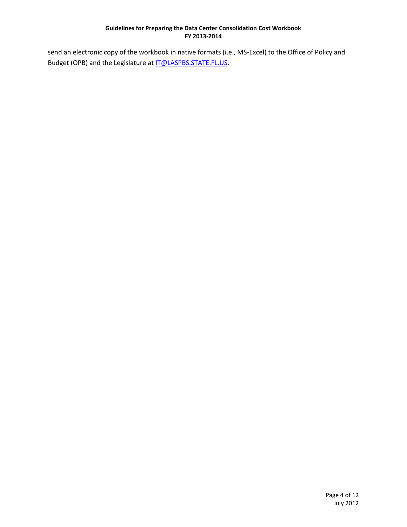send an electronic copy of the workbook in native formats (i.e., MS-Excel) to the Office of Policy and Budget (OPB) and the Legislature at [IT@LASPBS.STATE.FL.US.](mailto:IT@LASPBS.STATE.FL.US)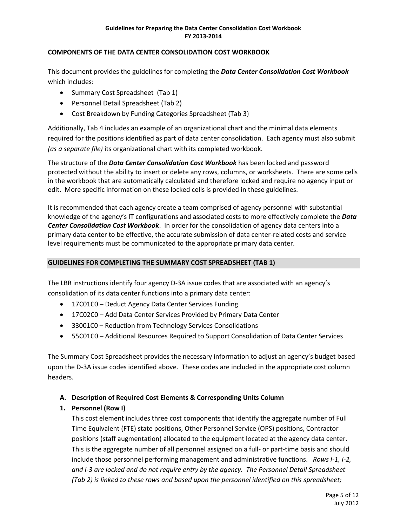### **COMPONENTS OF THE DATA CENTER CONSOLIDATION COST WORKBOOK**

This document provides the guidelines for completing the *Data Center Consolidation Cost Workbook* which includes:

- Summary Cost Spreadsheet (Tab 1)
- Personnel Detail Spreadsheet (Tab 2)
- Cost Breakdown by Funding Categories Spreadsheet (Tab 3)

Additionally, Tab 4 includes an example of an organizational chart and the minimal data elements required for the positions identified as part of data center consolidation. Each agency must also submit *(as a separate file)* its organizational chart with its completed workbook.

The structure of the *Data Center Consolidation Cost Workbook* has been locked and password protected without the ability to insert or delete any rows, columns, or worksheets. There are some cells in the workbook that are automatically calculated and therefore locked and require no agency input or edit. More specific information on these locked cells is provided in these guidelines.

It is recommended that each agency create a team comprised of agency personnel with substantial knowledge of the agency's IT configurations and associated costs to more effectively complete the *Data Center Consolidation Cost Workbook*. In order for the consolidation of agency data centers into a primary data center to be effective, the accurate submission of data center-related costs and service level requirements must be communicated to the appropriate primary data center.

#### **GUIDELINES FOR COMPLETING THE SUMMARY COST SPREADSHEET (TAB 1)**

The LBR instructions identify four agency D-3A issue codes that are associated with an agency's consolidation of its data center functions into a primary data center:

- 17C01C0 Deduct Agency Data Center Services Funding
- 17C02C0 Add Data Center Services Provided by Primary Data Center
- 33001C0 Reduction from Technology Services Consolidations
- 55C01C0 Additional Resources Required to Support Consolidation of Data Center Services

The Summary Cost Spreadsheet provides the necessary information to adjust an agency's budget based upon the D-3A issue codes identified above. These codes are included in the appropriate cost column headers.

#### **A. Description of Required Cost Elements & Corresponding Units Column**

## **1. Personnel (Row I)**

This cost element includes three cost components that identify the aggregate number of Full Time Equivalent (FTE) state positions, Other Personnel Service (OPS) positions, Contractor positions (staff augmentation) allocated to the equipment located at the agency data center. This is the aggregate number of all personnel assigned on a full- or part-time basis and should include those personnel performing management and administrative functions. *Rows I-1, I-2, and I-3 are locked and do not require entry by the agency. The Personnel Detail Spreadsheet (Tab 2) is linked to these rows and based upon the personnel identified on this spreadsheet;*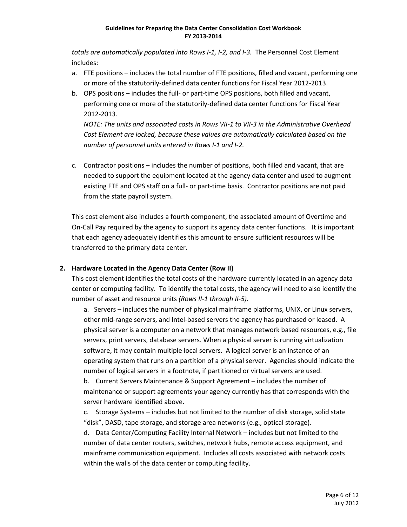*totals are automatically populated into Rows I-1, I-2, and I-3.* The Personnel Cost Element includes:

- a. FTE positions includes the total number of FTE positions, filled and vacant, performing one or more of the statutorily-defined data center functions for Fiscal Year 2012-2013.
- b. OPS positions includes the full- or part-time OPS positions, both filled and vacant, performing one or more of the statutorily-defined data center functions for Fiscal Year 2012-2013.

*NOTE: The units and associated costs in Rows VII-1 to VII-3 in the Administrative Overhead Cost Element are locked, because these values are automatically calculated based on the number of personnel units entered in Rows I-1 and I-2.*

c. Contractor positions – includes the number of positions, both filled and vacant, that are needed to support the equipment located at the agency data center and used to augment existing FTE and OPS staff on a full- or part-time basis. Contractor positions are not paid from the state payroll system.

This cost element also includes a fourth component, the associated amount of Overtime and On-Call Pay required by the agency to support its agency data center functions. It is important that each agency adequately identifies this amount to ensure sufficient resources will be transferred to the primary data center.

## **2. Hardware Located in the Agency Data Center (Row II)**

This cost element identifies the total costs of the hardware currently located in an agency data center or computing facility. To identify the total costs, the agency will need to also identify the number of asset and resource units *(Rows II-1 through II-5).*

a. Servers – includes the number of physical mainframe platforms, UNIX, or Linux servers, other mid-range servers, and Intel-based servers the agency has purchased or leased. A physical server is a computer on a network that manages network based resources, e.g., file servers, print servers, database servers. When a physical server is running virtualization software, it may contain multiple local servers. A logical server is an instance of an operating system that runs on a partition of a physical server. Agencies should indicate the number of logical servers in a footnote, if partitioned or virtual servers are used.

b. Current Servers Maintenance & Support Agreement – includes the number of maintenance or support agreements your agency currently has that corresponds with the server hardware identified above.

c. Storage Systems – includes but not limited to the number of disk storage, solid state "disk", DASD, tape storage, and storage area networks (e.g., optical storage).

d. Data Center/Computing Facility Internal Network – includes but not limited to the number of data center routers, switches, network hubs, remote access equipment, and mainframe communication equipment. Includes all costs associated with network costs within the walls of the data center or computing facility.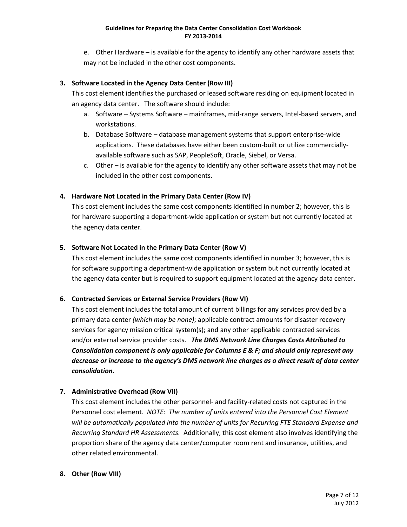e. Other Hardware – is available for the agency to identify any other hardware assets that may not be included in the other cost components.

## **3. Software Located in the Agency Data Center (Row III)**

This cost element identifies the purchased or leased software residing on equipment located in an agency data center. The software should include:

- a. Software Systems Software mainframes, mid-range servers, Intel-based servers, and workstations.
- b. Database Software database management systems that support enterprise-wide applications. These databases have either been custom-built or utilize commerciallyavailable software such as SAP, PeopleSoft, Oracle, Siebel, or Versa.
- c. Other is available for the agency to identify any other software assets that may not be included in the other cost components.

### **4. Hardware Not Located in the Primary Data Center (Row IV)**

This cost element includes the same cost components identified in number 2; however, this is for hardware supporting a department-wide application or system but not currently located at the agency data center.

### **5. Software Not Located in the Primary Data Center (Row V)**

This cost element includes the same cost components identified in number 3; however, this is for software supporting a department-wide application or system but not currently located at the agency data center but is required to support equipment located at the agency data center.

#### **6. Contracted Services or External Service Providers (Row VI)**

This cost element includes the total amount of current billings for any services provided by a primary data center *(which may be none)*; applicable contract amounts for disaster recovery services for agency mission critical system(s); and any other applicable contracted services and/or external service provider costs. *The DMS Network Line Charges Costs Attributed to Consolidation component is only applicable for Columns E & F; and should only represent any decrease or increase to the agency's DMS network line charges as a direct result of data center consolidation.*

## **7. Administrative Overhead (Row VII)**

This cost element includes the other personnel- and facility-related costs not captured in the Personnel cost element. *NOTE: The number of units entered into the Personnel Cost Element*  will be automatically populated into the number of units for Recurring FTE Standard Expense and *Recurring Standard HR Assessments.* Additionally, this cost element also involves identifying the proportion share of the agency data center/computer room rent and insurance, utilities, and other related environmental.

#### **8. Other (Row VIII)**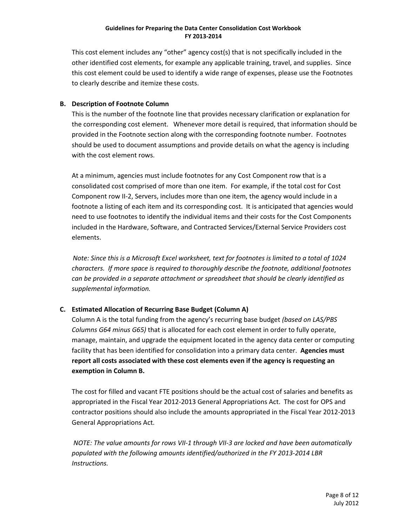This cost element includes any "other" agency cost(s) that is not specifically included in the other identified cost elements, for example any applicable training, travel, and supplies. Since this cost element could be used to identify a wide range of expenses, please use the Footnotes to clearly describe and itemize these costs.

## **B. Description of Footnote Column**

This is the number of the footnote line that provides necessary clarification or explanation for the corresponding cost element. Whenever more detail is required, that information should be provided in the Footnote section along with the corresponding footnote number. Footnotes should be used to document assumptions and provide details on what the agency is including with the cost element rows.

At a minimum, agencies must include footnotes for any Cost Component row that is a consolidated cost comprised of more than one item. For example, if the total cost for Cost Component row II-2, Servers, includes more than one item, the agency would include in a footnote a listing of each item and its corresponding cost. It is anticipated that agencies would need to use footnotes to identify the individual items and their costs for the Cost Components included in the Hardware, Software, and Contracted Services/External Service Providers cost elements.

*Note: Since this is a Microsoft Excel worksheet, text for footnotes is limited to a total of 1024 characters. If more space is required to thoroughly describe the footnote, additional footnotes can be provided in a separate attachment or spreadsheet that should be clearly identified as supplemental information.* 

## **C. Estimated Allocation of Recurring Base Budget (Column A)**

Column A is the total funding from the agency's recurring base budget *(based on LAS/PBS Columns G64 minus G65)* that is allocated for each cost element in order to fully operate, manage, maintain, and upgrade the equipment located in the agency data center or computing facility that has been identified for consolidation into a primary data center. **Agencies must report all costs associated with these cost elements even if the agency is requesting an exemption in Column B.**

The cost for filled and vacant FTE positions should be the actual cost of salaries and benefits as appropriated in the Fiscal Year 2012-2013 General Appropriations Act. The cost for OPS and contractor positions should also include the amounts appropriated in the Fiscal Year 2012-2013 General Appropriations Act.

*NOTE: The value amounts for rows VII-1 through VII-3 are locked and have been automatically populated with the following amounts identified/authorized in the FY 2013-2014 LBR Instructions.*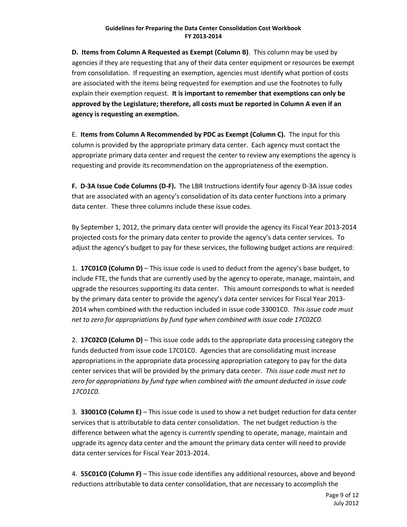**D. Items from Column A Requested as Exempt (Column B)**. This column may be used by agencies if they are requesting that any of their data center equipment or resources be exempt from consolidation. If requesting an exemption, agencies must identify what portion of costs are associated with the items being requested for exemption and use the footnotes to fully explain their exemption request. **It is important to remember that exemptions can only be approved by the Legislature; therefore, all costs must be reported in Column A even if an agency is requesting an exemption.**

E. **Items from Column A Recommended by PDC as Exempt (Column C).** The input for this column is provided by the appropriate primary data center. Each agency must contact the appropriate primary data center and request the center to review any exemptions the agency is requesting and provide its recommendation on the appropriateness of the exemption.

**F. D-3A Issue Code Columns (D-F).** The LBR Instructions identify four agency D-3A issue codes that are associated with an agency's consolidation of its data center functions into a primary data center. These three columns include these issue codes.

By September 1, 2012, the primary data center will provide the agency its Fiscal Year 2013-2014 projected costs for the primary data center to provide the agency's data center services. To adjust the agency's budget to pay for these services, the following budget actions are required:

1. **17C01C0 (Column D)** – This issue code is used to deduct from the agency's base budget, to include FTE, the funds that are currently used by the agency to operate, manage, maintain, and upgrade the resources supporting its data center. This amount corresponds to what is needed by the primary data center to provide the agency's data center services for Fiscal Year 2013- 2014 when combined with the reduction included in issue code 33001C0. *This issue code must net to zero for appropriations by fund type when combined with issue code 17C02C0.*

2. **17C02C0 (Column D)** – This issue code adds to the appropriate data processing category the funds deducted from issue code 17C01C0. Agencies that are consolidating must increase appropriations in the appropriate data processing appropriation category to pay for the data center services that will be provided by the primary data center. *This issue code must net to zero for appropriations by fund type when combined with the amount deducted in issue code 17C01C0.*

3. **33001C0 (Column E)** – This issue code is used to show a net budget reduction for data center services that is attributable to data center consolidation. The net budget reduction is the difference between what the agency is currently spending to operate, manage, maintain and upgrade its agency data center and the amount the primary data center will need to provide data center services for Fiscal Year 2013-2014.

4. **55C01C0 (Column F)** – This issue code identifies any additional resources, above and beyond reductions attributable to data center consolidation, that are necessary to accomplish the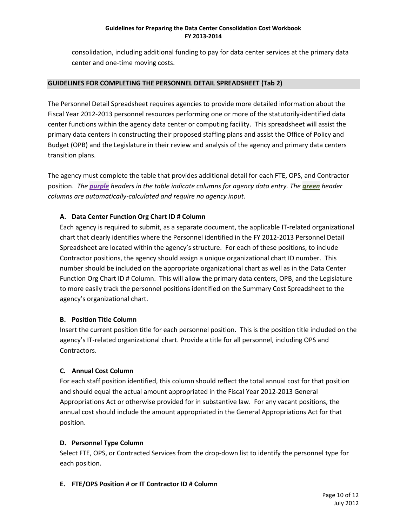consolidation, including additional funding to pay for data center services at the primary data center and one-time moving costs.

### **GUIDELINES FOR COMPLETING THE PERSONNEL DETAIL SPREADSHEET (Tab 2)**

The Personnel Detail Spreadsheet requires agencies to provide more detailed information about the Fiscal Year 2012-2013 personnel resources performing one or more of the statutorily-identified data center functions within the agency data center or computing facility. This spreadsheet will assist the primary data centers in constructing their proposed staffing plans and assist the Office of Policy and Budget (OPB) and the Legislature in their review and analysis of the agency and primary data centers transition plans.

The agency must complete the table that provides additional detail for each FTE, OPS, and Contractor position. *The purple headers in the table indicate columns for agency data entry. The green header columns are automatically-calculated and require no agency input*.

## **A. Data Center Function Org Chart ID # Column**

Each agency is required to submit, as a separate document, the applicable IT-related organizational chart that clearly identifies where the Personnel identified in the FY 2012-2013 Personnel Detail Spreadsheet are located within the agency's structure. For each of these positions, to include Contractor positions, the agency should assign a unique organizational chart ID number. This number should be included on the appropriate organizational chart as well as in the Data Center Function Org Chart ID # Column. This will allow the primary data centers, OPB, and the Legislature to more easily track the personnel positions identified on the Summary Cost Spreadsheet to the agency's organizational chart.

## **B. Position Title Column**

Insert the current position title for each personnel position. This is the position title included on the agency's IT-related organizational chart. Provide a title for all personnel, including OPS and Contractors.

## **C. Annual Cost Column**

For each staff position identified, this column should reflect the total annual cost for that position and should equal the actual amount appropriated in the Fiscal Year 2012-2013 General Appropriations Act or otherwise provided for in substantive law. For any vacant positions, the annual cost should include the amount appropriated in the General Appropriations Act for that position.

## **D. Personnel Type Column**

Select FTE, OPS, or Contracted Services from the drop-down list to identify the personnel type for each position.

#### **E. FTE/OPS Position # or IT Contractor ID # Column**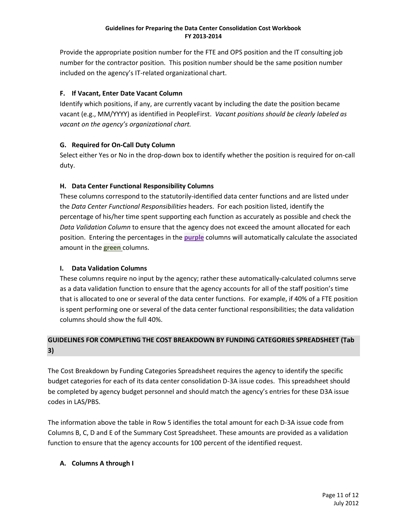Provide the appropriate position number for the FTE and OPS position and the IT consulting job number for the contractor position. This position number should be the same position number included on the agency's IT-related organizational chart.

## **F. If Vacant, Enter Date Vacant Column**

Identify which positions, if any, are currently vacant by including the date the position became vacant (e.g., MM/YYYY) as identified in PeopleFirst. *Vacant positions should be clearly labeled as vacant on the agency's organizational chart.* 

## **G. Required for On-Call Duty Column**

Select either Yes or No in the drop-down box to identify whether the position is required for on-call duty.

## **H. Data Center Functional Responsibility Columns**

These columns correspond to the statutorily-identified data center functions and are listed under the *Data Center Functional Responsibilities* headers. For each position listed, identify the percentage of his/her time spent supporting each function as accurately as possible and check the *Data Validation Column* to ensure that the agency does not exceed the amount allocated for each position. Entering the percentages in the **purple** columns will automatically calculate the associated amount in the **green** columns.

## **I. Data Validation Columns**

These columns require no input by the agency; rather these automatically-calculated columns serve as a data validation function to ensure that the agency accounts for all of the staff position's time that is allocated to one or several of the data center functions. For example, if 40% of a FTE position is spent performing one or several of the data center functional responsibilities; the data validation columns should show the full 40%.

# **GUIDELINES FOR COMPLETING THE COST BREAKDOWN BY FUNDING CATEGORIES SPREADSHEET (Tab 3)**

The Cost Breakdown by Funding Categories Spreadsheet requires the agency to identify the specific budget categories for each of its data center consolidation D-3A issue codes. This spreadsheet should be completed by agency budget personnel and should match the agency's entries for these D3A issue codes in LAS/PBS.

The information above the table in Row 5 identifies the total amount for each D-3A issue code from Columns B, C, D and E of the Summary Cost Spreadsheet. These amounts are provided as a validation function to ensure that the agency accounts for 100 percent of the identified request.

# **A. Columns A through I**